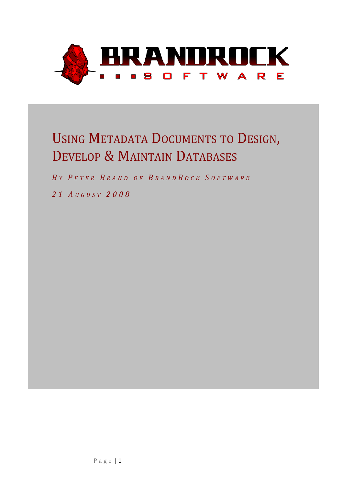

# USING METADATA DOCUMENTS TO DESIGN, DEVELOP & MAINTAIN DATABASES

*B Y P E T E R B R A N D O F B R A N D R O C K S O F T W A R E*

*2 1 A U G U S T 2 0 0 8*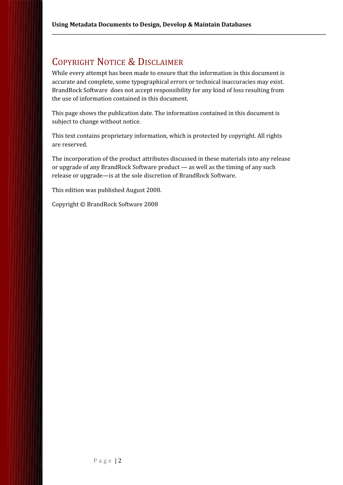# COPYRIGHT NOTICE & DISCLAIMER

While every attempt has been made to ensure that the information in this document is accurate and complete, some typographical errors or technical inaccuracies may exist. BrandRock Software does not accept responsibility for any kind of loss resulting from the use of information contained in this document.

This page shows the publication date. The information contained in this document is subject to change without notice.

This text contains proprietary information, which is protected by copyright. All rights are reserved.

The incorporation of the product attributes discussed in these materials into any release or upgrade of any BrandRock Software product — as well as the timing of any such release or upgrade—is at the sole discretion of BrandRock Software.

This edition was published August 2008.

Copyright © BrandRock Software 2008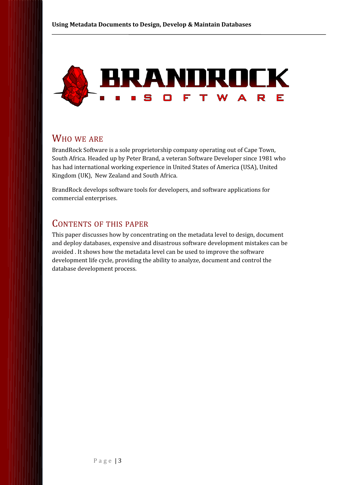

### WHO WE ARE

BrandRock Software is a sole proprietorship company operating out of Cape Town, South Africa. Headed up by Peter Brand, a veteran Software Developer since 1981 who has had international working experience in United States of America (USA), United Kingdom (UK), New Zealand and South Africa.

BrandRock develops software tools for developers, and software applications for commercial enterprises.

### CONTENTS OF THIS PAPER

This paper discusses how by concentrating on the metadata level to design, document and deploy databases, expensive and disastrous software development mistakes can be avoided . It shows how the metadata level can be used to improve the software development life cycle, providing the ability to analyze, document and control the database development process.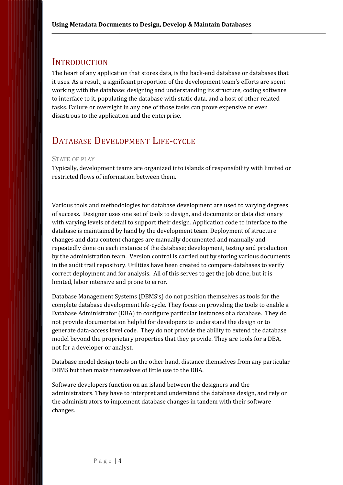### **INTRODUCTION**

The heart of any application that stores data, is the back-end database or databases that it uses. As a result, a significant proportion of the development team's efforts are spent working with the database: designing and understanding its structure, coding software to interface to it, populating the database with static data, and a host of other related tasks. Failure or oversight in any one of those tasks can prove expensive or even disastrous to the application and the enterprise.

## DATABASE DEVELOPMENT LIFE-CYCLE

#### STATE OF PLAY

Typically, development teams are organized into islands of responsibility with limited or restricted flows of information between them.

Various tools and methodologies for database development are used to varying degrees of success. Designer uses one set of tools to design, and documents or data dictionary with varying levels of detail to support their design. Application code to interface to the database is maintained by hand by the development team. Deployment of structure changes and data content changes are manually documented and manually and repeatedly done on each instance of the database; development, testing and production by the administration team. Version control is carried out by storing various documents in the audit trail repository. Utilities have been created to compare databases to verify correct deployment and for analysis. All of this serves to get the job done, but it is limited, labor intensive and prone to error.

Database Management Systems (DBMS's) do not position themselves as tools for the complete database development life-cycle. They focus on providing the tools to enable a Database Administrator (DBA) to configure particular instances of a database. They do not provide documentation helpful for developers to understand the design or to generate data-access level code. They do not provide the ability to extend the database model beyond the proprietary properties that they provide. They are tools for a DBA, not for a developer or analyst.

Database model design tools on the other hand, distance themselves from any particular DBMS but then make themselves of little use to the DBA.

Software developers function on an island between the designers and the administrators. They have to interpret and understand the database design, and rely on the administrators to implement database changes in tandem with their software changes.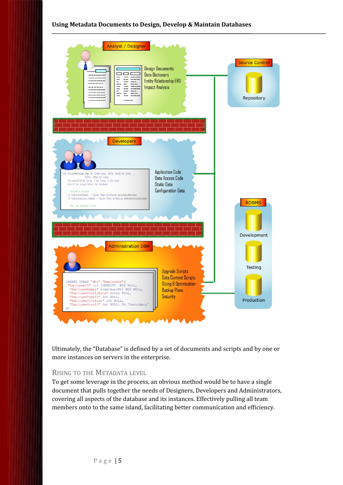

Ultimately, the "Database" is defined by a set of documents and scripts and by one or more instances on servers in the enterprise.

#### RISING TO THE METADATA LEVEL

To get some leverage in the process, an obvious method would be to have a single document that pulls together the needs of Designers, Developers and Administrators, covering all aspects of the database and its instances. Effectively pulling all team members onto to the same island, facilitating better communication and efficiency.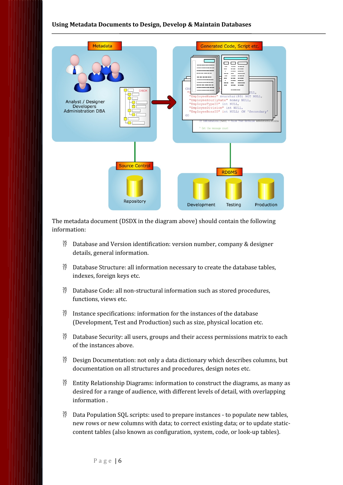

The metadata document (DSDX in the diagram above) should contain the following information:

- $^{35}_{17}$  Database and Version identification: version number, company & designer details, general information.
- $^{35}_{17}$  Database Structure: all information necessary to create the database tables, indexes, foreign keys etc.
- $^{35}_{17}$  Database Code: all non-structural information such as stored procedures, functions, views etc.
- $^{35}_{17}$  Instance specifications: information for the instances of the database (Development, Test and Production) such as size, physical location etc.
- $^{35}_{17}$  Database Security: all users, groups and their access permissions matrix to each of the instances above.
- $^{35}_{17}$  Design Documentation: not only a data dictionary which describes columns, but documentation on all structures and procedures, design notes etc.
- $^{35}_{17}$  Entity Relationship Diagrams: information to construct the diagrams, as many as desired for a range of audience, with different levels of detail, with overlapping information .
- $^{35}_{17}$  Data Population SQL scripts: used to prepare instances to populate new tables, new rows or new columns with data; to correct existing data; or to update staticcontent tables (also known as configuration, system, code, or look-up tables).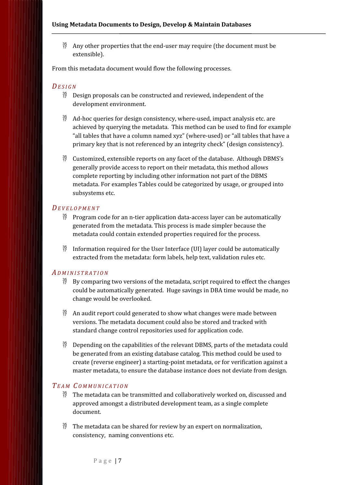$^{35}_{17}$  Any other properties that the end-user may require (the document must be extensible).

From this metadata document would flow the following processes.

#### *DE S I G N*

- $^{35}_{17}$  Design proposals can be constructed and reviewed, independent of the development environment.
- $\frac{35}{17}$  Ad-hoc queries for design consistency, where-used, impact analysis etc. are achieved by querying the metadata. This method can be used to find for example "all tables that have a column named xyz" (where-used) or "all tables that have a primary key that is not referenced by an integrity check" (design consistency).
- $\frac{35}{12}$  Customized, extensible reports on any facet of the database. Although DBMS's generally provide access to report on their metadata, this method allows complete reporting by including other information not part of the DBMS metadata. For examples Tables could be categorized by usage, or grouped into subsystems etc.

#### *DE V E L O P M E N T*

- $^{35}_{17}$  Program code for an n-tier application data-access layer can be automatically generated from the metadata. This process is made simpler because the metadata could contain extended properties required for the process.
- $\frac{35}{17}$  Information required for the User Interface (UI) layer could be automatically extracted from the metadata: form labels, help text, validation rules etc.

#### *A D M I N I S T R A T I O N*

- $^{35}_{17}$  By comparing two versions of the metadata, script required to effect the changes could be automatically generated. Huge savings in DBA time would be made, no change would be overlooked.
- $^{35}_{27}$  An audit report could generated to show what changes were made between versions. The metadata document could also be stored and tracked with standard change control repositories used for application code.
- $^{35}_{17}$  Depending on the capabilities of the relevant DBMS, parts of the metadata could be generated from an existing database catalog. This method could be used to create (reverse engineer) a starting-point metadata, or for verification against a master metadata, to ensure the database instance does not deviate from design.

#### *TE A M C O M M U N I C A T I O N*

- $^{35}_{17}$  The metadata can be transmitted and collaboratively worked on, discussed and approved amongst a distributed development team, as a single complete document.
- $^{35}_{17}$  The metadata can be shared for review by an expert on normalization, consistency, naming conventions etc.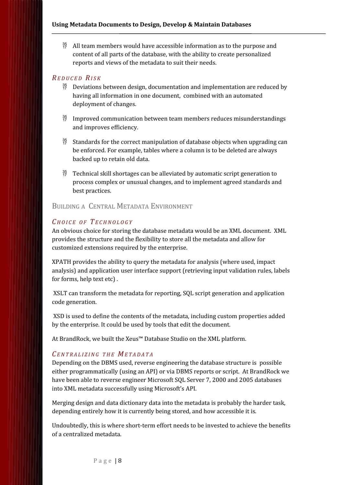$^{35}_{17}$  All team members would have accessible information as to the purpose and content of all parts of the database, with the ability to create personalized reports and views of the metadata to suit their needs.

#### *RE D U C E D RI S K*

- $\frac{35}{17}$  Deviations between design, documentation and implementation are reduced by having all information in one document, combined with an automated deployment of changes.
- $^{35}_{17}$  Improved communication between team members reduces misunderstandings and improves efficiency.
- $^{35}_{17}$  Standards for the correct manipulation of database objects when upgrading can be enforced. For example, tables where a column is to be deleted are always backed up to retain old data.
- $^{35}_{17}$  Technical skill shortages can be alleviated by automatic script generation to process complex or unusual changes, and to implement agreed standards and best practices.

#### BUILDING A CENTRAL METADATA ENVIRONMENT

#### *CH O I C E O F TE C H N O L O G Y*

An obvious choice for storing the database metadata would be an XML document. XML provides the structure and the flexibility to store all the metadata and allow for customized extensions required by the enterprise.

XPATH provides the ability to query the metadata for analysis (where used, impact analysis) and application user interface support (retrieving input validation rules, labels for forms, help text etc) .

 XSLT can transform the metadata for reporting, SQL script generation and application code generation.

 XSD is used to define the contents of the metadata, including custom properties added by the enterprise. It could be used by tools that edit the document.

At BrandRock, we built the Xeus™ Database Studio on the XML platform.

#### *C E N T R A L I Z I N G T H E ME T A D A T A*

Depending on the DBMS used, reverse engineering the database structure is possible either programmatically (using an API) or via DBMS reports or script. At BrandRock we have been able to reverse engineer Microsoft SQL Server 7, 2000 and 2005 databases into XML metadata successfully using Microsoft's API.

Merging design and data dictionary data into the metadata is probably the harder task, depending entirely how it is currently being stored, and how accessible it is.

Undoubtedly, this is where short-term effort needs to be invested to achieve the benefits of a centralized metadata.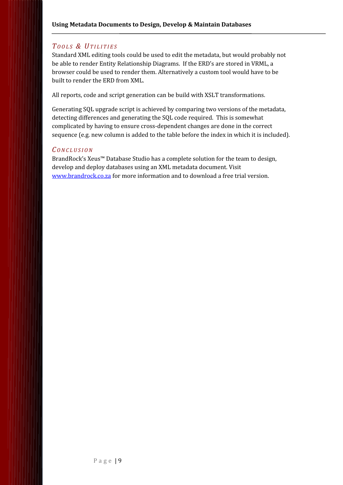#### *T O O L S & UT I L I T I E S*

Standard XML editing tools could be used to edit the metadata, but would probably not be able to render Entity Relationship Diagrams. If the ERD's are stored in VRML, a browser could be used to render them. Alternatively a custom tool would have to be built to render the ERD from XML.

All reports, code and script generation can be build with XSLT transformations.

Generating SQL upgrade script is achieved by comparing two versions of the metadata, detecting differences and generating the SQL code required. This is somewhat complicated by having to ensure cross-dependent changes are done in the correct sequence (e.g. new column is added to the table before the index in which it is included).

#### *C O N C L U S I O N*

BrandRock's Xeus™ Database Studio has a complete solution for the team to design, develop and deploy databases using an XML metadata document. Visit [www.brandrock.co.za](http://www.brandrock.co.za/) for more information and to download a free trial version.